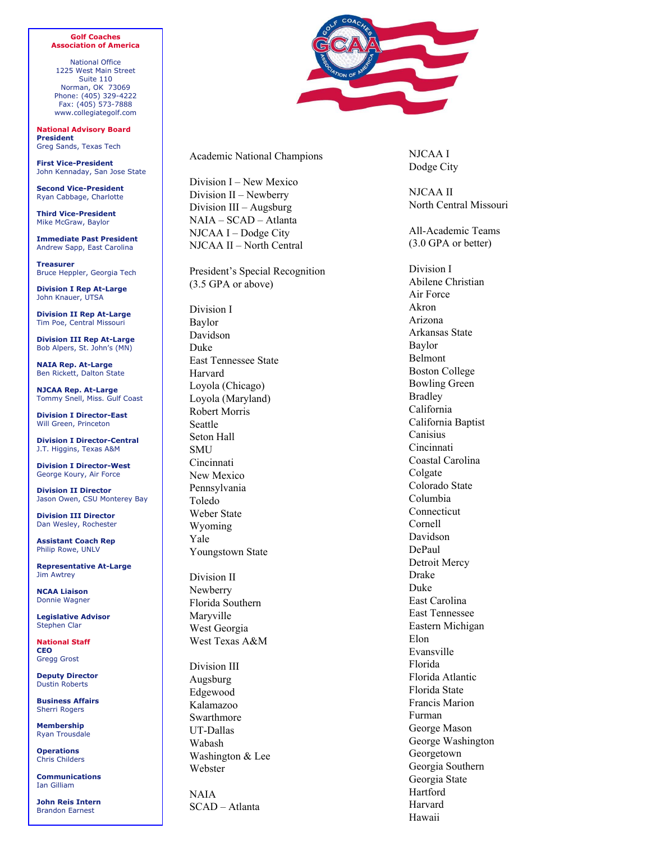## **Golf Coaches Association of America**

National Office 1225 West Main Street Suite 110 Norman, OK 73069 Phone: (405) 329 -4222 Fax: (405) 573 -7888 www.collegiategolf.com

**National Advisory Board President** Greg Sands, Texas Tech

**First Vice-President** John Kennaday, San Jose State

**Second Vice-President** Ryan Cabbage, Charlotte

**Third Vice-President**  Mike McGraw, Baylor

**Immediate Past President** Andrew Sapp, East Carolina

**Treasurer** Bruce Heppler, Georgia Tech

**Division I Rep At-Large** John Knauer, UTSA

**Division II Rep At-Large** Tim Poe, Central Missouri

**Division III Rep At-Large** Bob Alpers, St. John's (MN)

**NAIA Rep. At-Large**  Ben Rickett, Dalton State

**NJCAA Rep. At-Large**  Tommy Snell, Miss. Gulf Coast

**Division I Director-East**  Will Green, Princeton

**Division I Director-Central**  J.T. Higgins, Texas A&M

**Division I Director-West** George Koury, Air Force

**Division II Director** Jason Owen, CSU Monterey Bay

**Division III Director** Dan Wesley, Rochester

**Assistant Coach Rep**  Philip Rowe, UNLV

**Representative At-Large** Jim Awtrey

**NCAA Liaison**  Donnie Wagner

**Legislative Advisor**  Stephen Clar

**National Staff CEO**  Gregg Grost

**Deputy Director**  Dustin Roberts

**Business Affairs**  Sherri Rogers

**Membership**  Ryan Trousdale

**Operations**  Chris Childers

**Communications** Ian Gilliam

**John Reis Intern**  Brandon Earnest



Academic National Champions

Division I – New Mexico Division II – Newberry Division III – Augsburg NAIA – SCAD – Atlanta NJCAA I – Dodge City NJCAA II – North Central

President's Special Recognition (3.5 GPA or above)

Division I Baylor Davidson Duke East Tennessee State Harvard Loyola (Chicago) Loyola (Maryland) Robert Morris Seattle Seton Hall **SMU Cincinnati** New Mexico Pennsylvania Toledo Weber State Wyoming Yale Youngstown State

Division II Newberry Florida Southern Maryville West Georgia West Texas A&M

Division III Augsburg Edgewood Kalamazoo Swarthmore UT-Dallas Wabash Washington & Lee Webster

NAIA SCAD – Atlanta

NJCAA I Dodge City

NJCAA II North Central Missouri

All-Academic Teams (3.0 GPA or better)

Division I Abilene Christian Air Force Akron Arizona Arkansas State Baylor Belmont Boston College Bowling Green Bradley California California Baptist Canisius Cincinnati Coastal Carolina Colgate Colorado State Columbia Connecticut Cornell Davidson DePaul Detroit Mercy Drake Duke East Carolina East Tennessee Eastern Michigan Elon Evansville Florida Florida Atlantic Florida State Francis Marion Furman George Mason George Washington Georgetown Georgia Southern Georgia State Hartford Harvard Hawaii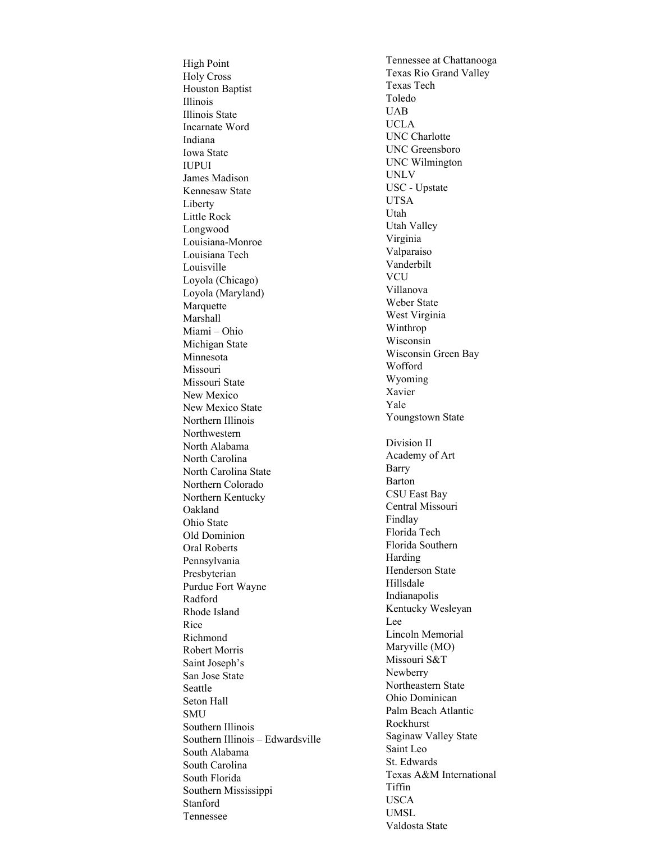High Point Holy Cross Houston Baptist Illinois Illinois State Incarnate Word Indiana Iowa State IUPUI James Madison Kennesaw State Liberty Little Rock Longwood Louisiana-Monroe Louisiana Tech Louisville Loyola (Chicago) Loyola (Maryland) Marquette Marshall Miami – Ohio Michigan State Minnesota Missouri Missouri State New Mexico New Mexico State Northern Illinois Northwestern North Alabama North Carolina North Carolina State Northern Colorado Northern Kentucky Oakland Ohio State Old Dominion Oral Roberts Pennsylvania Presbyterian Purdue Fort Wayne Radford Rhode Island Rice Richmond Robert Morris Saint Joseph's San Jose State Seattle Seton Hall SMU Southern Illinois Southern Illinois – Edwardsville South Alabama South Carolina South Florida Southern Mississippi Stanford Tennessee

Tennessee at Chattanooga Texas Rio Grand Valley Texas Tech Toledo UAB UCLA UNC Charlotte UNC Greensboro UNC Wilmington UNLV USC - Upstate UTSA Utah Utah Valley Virginia Valparaiso Vanderbilt VCU Villanova Weber State West Virginia Winthrop Wisconsin Wisconsin Green Bay Wofford Wyoming Xavier Yale Youngstown State Division II Academy of Art Barry Barton CSU East Bay Central Missouri Findlay Florida Tech Florida Southern Harding Henderson State Hillsdale Indianapolis Kentucky Wesleyan Lee Lincoln Memorial Maryville (MO) Missouri S&T Newberry Northeastern State Ohio Dominican Palm Beach Atlantic Rockhurst Saginaw Valley State Saint Leo St. Edwards Texas A&M International Tiffin USCA UMSL Valdosta State